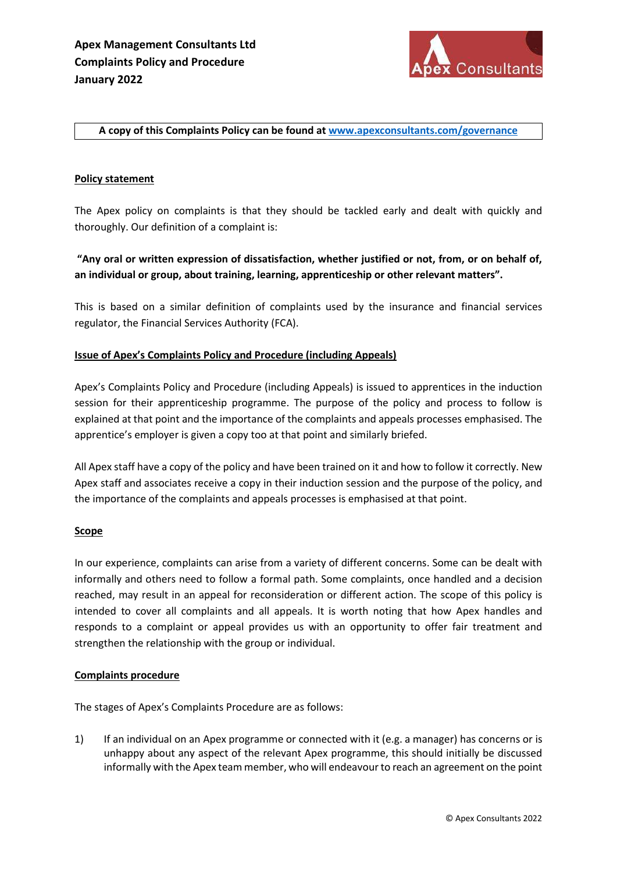

### A copy of this Complaints Policy can be found at www.apexconsultants.com/governance

## Policy statement

The Apex policy on complaints is that they should be tackled early and dealt with quickly and thoroughly. Our definition of a complaint is:

# "Any oral or written expression of dissatisfaction, whether justified or not, from, or on behalf of, an individual or group, about training, learning, apprenticeship or other relevant matters".

This is based on a similar definition of complaints used by the insurance and financial services regulator, the Financial Services Authority (FCA).

### Issue of Apex's Complaints Policy and Procedure (including Appeals)

Apex's Complaints Policy and Procedure (including Appeals) is issued to apprentices in the induction session for their apprenticeship programme. The purpose of the policy and process to follow is explained at that point and the importance of the complaints and appeals processes emphasised. The apprentice's employer is given a copy too at that point and similarly briefed.

All Apex staff have a copy of the policy and have been trained on it and how to follow it correctly. New Apex staff and associates receive a copy in their induction session and the purpose of the policy, and the importance of the complaints and appeals processes is emphasised at that point.

### **Scope**

In our experience, complaints can arise from a variety of different concerns. Some can be dealt with informally and others need to follow a formal path. Some complaints, once handled and a decision reached, may result in an appeal for reconsideration or different action. The scope of this policy is intended to cover all complaints and all appeals. It is worth noting that how Apex handles and responds to a complaint or appeal provides us with an opportunity to offer fair treatment and strengthen the relationship with the group or individual.

### Complaints procedure

The stages of Apex's Complaints Procedure are as follows:

1) If an individual on an Apex programme or connected with it (e.g. a manager) has concerns or is unhappy about any aspect of the relevant Apex programme, this should initially be discussed informally with the Apex team member, who will endeavour to reach an agreement on the point